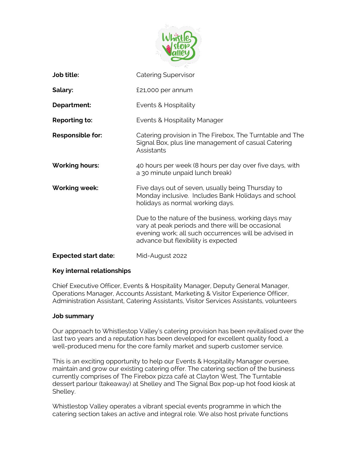

| Job title:                  | <b>Catering Supervisor</b>                                                                                                                                                                               |
|-----------------------------|----------------------------------------------------------------------------------------------------------------------------------------------------------------------------------------------------------|
| Salary:                     | £21,000 per annum                                                                                                                                                                                        |
| Department:                 | Events & Hospitality                                                                                                                                                                                     |
| Reporting to:               | Events & Hospitality Manager                                                                                                                                                                             |
| Responsible for:            | Catering provision in The Firebox, The Turntable and The<br>Signal Box, plus line management of casual Catering<br>Assistants                                                                            |
| <b>Working hours:</b>       | 40 hours per week (8 hours per day over five days, with<br>a 30 minute unpaid lunch break)                                                                                                               |
| <b>Working week:</b>        | Five days out of seven, usually being Thursday to<br>Monday inclusive. Includes Bank Holidays and school<br>holidays as normal working days.                                                             |
|                             | Due to the nature of the business, working days may<br>vary at peak periods and there will be occasional<br>evening work; all such occurrences will be advised in<br>advance but flexibility is expected |
| <b>Expected start date:</b> | Mid-August 2022                                                                                                                                                                                          |

#### **Key internal relationships**

Chief Executive Officer, Events & Hospitality Manager, Deputy General Manager, Operations Manager, Accounts Assistant, Marketing & Visitor Experience Officer, Administration Assistant, Catering Assistants, Visitor Services Assistants, volunteers

#### **Job summary**

Our approach to Whistlestop Valley's catering provision has been revitalised over the last two years and a reputation has been developed for excellent quality food, a well-produced menu for the core family market and superb customer service.

This is an exciting opportunity to help our Events & Hospitality Manager oversee, maintain and grow our existing catering offer. The catering section of the business currently comprises of The Firebox pizza café at Clayton West, The Turntable dessert parlour (takeaway) at Shelley and The Signal Box pop-up hot food kiosk at Shelley.

Whistlestop Valley operates a vibrant special events programme in which the catering section takes an active and integral role. We also host private functions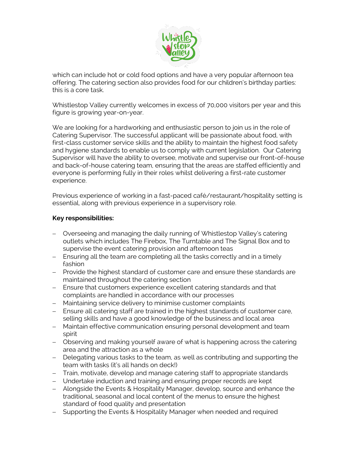

which can include hot or cold food options and have a very popular afternoon tea offering. The catering section also provides food for our children's birthday parties: this is a core task.

Whistlestop Valley currently welcomes in excess of 70,000 visitors per year and this figure is growing year-on-year.

We are looking for a hardworking and enthusiastic person to join us in the role of Catering Supervisor. The successful applicant will be passionate about food, with first-class customer service skills and the ability to maintain the highest food safety and hygiene standards to enable us to comply with current legislation. Our Catering Supervisor will have the ability to oversee, motivate and supervise our front-of-house and back-of-house catering team, ensuring that the areas are staffed efficiently and everyone is performing fully in their roles whilst delivering a first-rate customer experience.

Previous experience of working in a fast-paced café/restaurant/hospitality setting is essential, along with previous experience in a supervisory role.

### **Key responsibilities:**

- − Overseeing and managing the daily running of Whistlestop Valley's catering outlets which includes The Firebox, The Turntable and The Signal Box and to supervise the event catering provision and afternoon teas
- − Ensuring all the team are completing all the tasks correctly and in a timely fashion
- − Provide the highest standard of customer care and ensure these standards are maintained throughout the catering section
- − Ensure that customers experience excellent catering standards and that complaints are handled in accordance with our processes
- − Maintaining service delivery to minimise customer complaints
- − Ensure all catering staff are trained in the highest standards of customer care, selling skills and have a good knowledge of the business and local area
- − Maintain effective communication ensuring personal development and team spirit
- − Observing and making yourself aware of what is happening across the catering area and the attraction as a whole
- − Delegating various tasks to the team, as well as contributing and supporting the team with tasks (it's all hands on deck!)
- − Train, motivate, develop and manage catering staff to appropriate standards
- − Undertake induction and training and ensuring proper records are kept
- − Alongside the Events & Hospitality Manager, develop, source and enhance the traditional, seasonal and local content of the menus to ensure the highest standard of food quality and presentation
- − Supporting the Events & Hospitality Manager when needed and required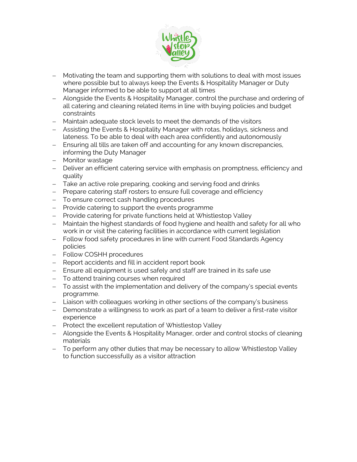

- − Motivating the team and supporting them with solutions to deal with most issues where possible but to always keep the Events & Hospitality Manager or Duty Manager informed to be able to support at all times
- − Alongside the Events & Hospitality Manager, control the purchase and ordering of all catering and cleaning related items in line with buying policies and budget constraints
- − Maintain adequate stock levels to meet the demands of the visitors
- − Assisting the Events & Hospitality Manager with rotas, holidays, sickness and lateness. To be able to deal with each area confidently and autonomously
- − Ensuring all tills are taken off and accounting for any known discrepancies, informing the Duty Manager
- − Monitor wastage
- − Deliver an efficient catering service with emphasis on promptness, efficiency and quality
- − Take an active role preparing, cooking and serving food and drinks
- − Prepare catering staff rosters to ensure full coverage and efficiency
- − To ensure correct cash handling procedures
- − Provide catering to support the events programme
- − Provide catering for private functions held at Whistlestop Valley
- − Maintain the highest standards of food hygiene and health and safety for all who work in or visit the catering facilities in accordance with current legislation
- − Follow food safety procedures in line with current Food Standards Agency policies
- − Follow COSHH procedures
- − Report accidents and fill in accident report book
- − Ensure all equipment is used safely and staff are trained in its safe use
- − To attend training courses when required
- − To assist with the implementation and delivery of the company's special events programme.
- − Liaison with colleagues working in other sections of the company's business
- − Demonstrate a willingness to work as part of a team to deliver a first-rate visitor experience
- − Protect the excellent reputation of Whistlestop Valley
- − Alongside the Events & Hospitality Manager, order and control stocks of cleaning materials
- − To perform any other duties that may be necessary to allow Whistlestop Valley to function successfully as a visitor attraction